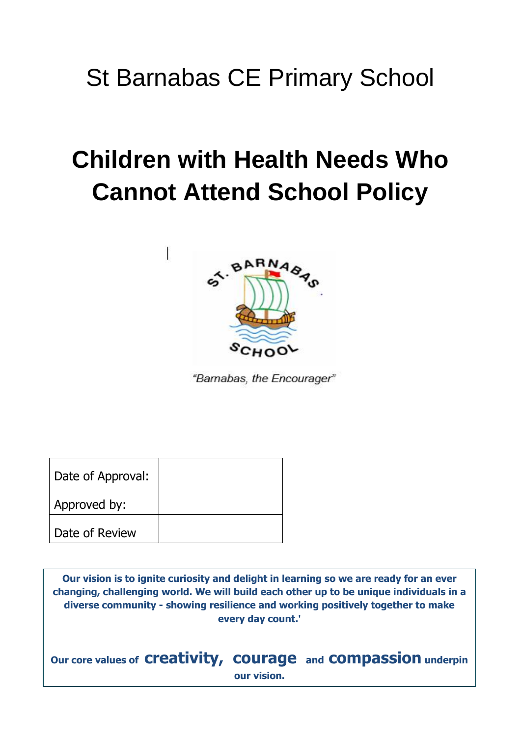# St Barnabas CE Primary School

# **Children with Health Needs Who Cannot Attend School Policy**



"Barnabas, the Encourager"

| Date of Approval: |  |
|-------------------|--|
| Approved by:      |  |
| Date of Review    |  |

**Our vision is to ignite curiosity and delight in learning so we are ready for an ever changing, challenging world. We will build each other up to be unique individuals in a diverse community - showing resilience and working positively together to make every day count.'**

**Our core values of creativity, courage and compassion underpin our vision.**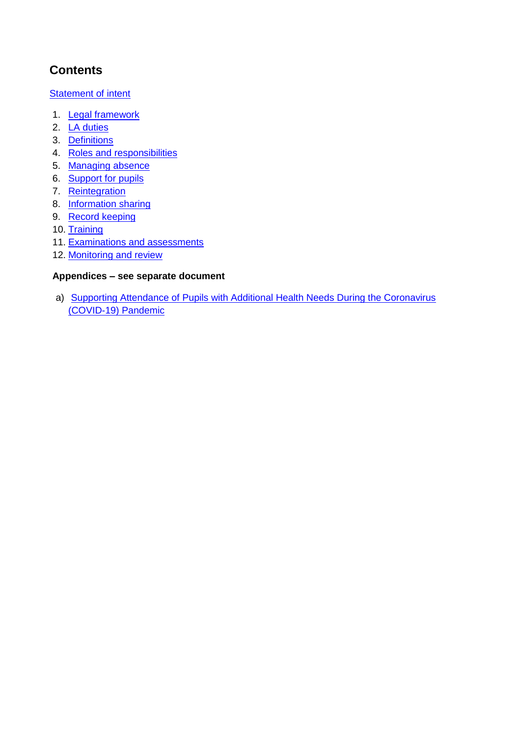# **Contents**

[Statement of intent](#page-2-0)

- 1. Legal framework
- 2. [LA duties](#page-3-0)
- 3. [Definitions](#page-4-0)
- 4. [Roles and responsibilities](#page-4-1)
- 5. [Managing absence](#page-6-0)
- 6. [Support for pupils](#page-7-0)
- 7. [Reintegration](#page-8-0)
- 8. [Information sharing](#page-8-1)
- 9. [Record keeping](#page-9-0)
- 10. [Training](#page-9-1)
- 11. Examinations and assessments
- 12. Monitoring and review

#### **Appendices – see separate document**

a) Supporting Attendance of Pupils with Additional Health Needs During the Coronavirus (COVID-19) Pandemic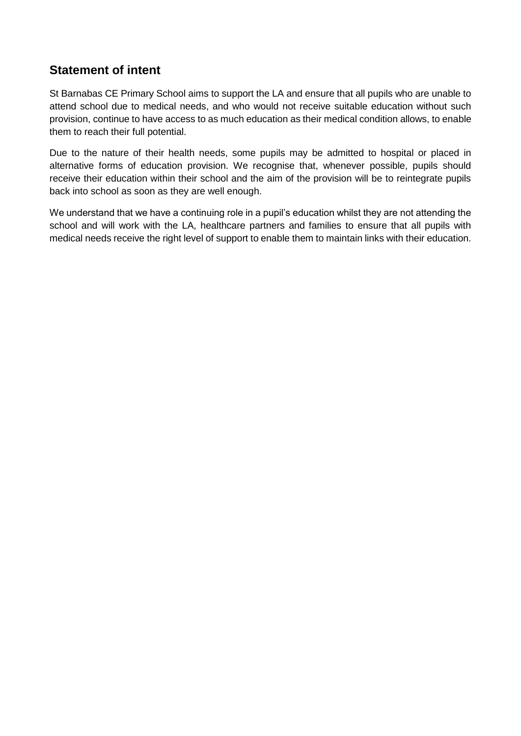# <span id="page-2-0"></span>**Statement of intent**

St Barnabas CE Primary School aims to support the LA and ensure that all pupils who are unable to attend school due to medical needs, and who would not receive suitable education without such provision, continue to have access to as much education as their medical condition allows, to enable them to reach their full potential.

Due to the nature of their health needs, some pupils may be admitted to hospital or placed in alternative forms of education provision. We recognise that, whenever possible, pupils should receive their education within their school and the aim of the provision will be to reintegrate pupils back into school as soon as they are well enough.

We understand that we have a continuing role in a pupil's education whilst they are not attending the school and will work with the LA, healthcare partners and families to ensure that all pupils with medical needs receive the right level of support to enable them to maintain links with their education.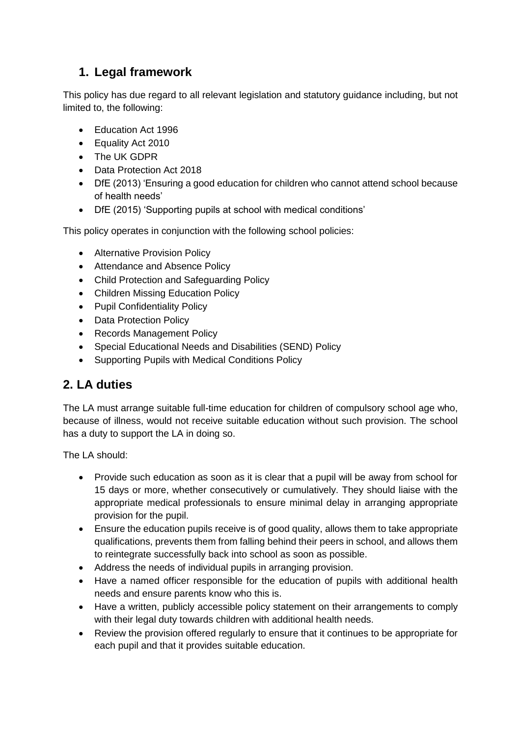# **1. Legal framework**

This policy has due regard to all relevant legislation and statutory guidance including, but not limited to, the following:

- Education Act 1996
- Equality Act 2010
- The UK GDPR
- Data Protection Act 2018
- DfE (2013) 'Ensuring a good education for children who cannot attend school because of health needs'
- DfE (2015) 'Supporting pupils at school with medical conditions'

This policy operates in conjunction with the following school policies:

- Alternative Provision Policy
- Attendance and Absence Policy
- Child Protection and Safeguarding Policy
- Children Missing Education Policy
- Pupil Confidentiality Policy
- Data Protection Policy
- Records Management Policy
- Special Educational Needs and Disabilities (SEND) Policy
- Supporting Pupils with Medical Conditions Policy

# <span id="page-3-0"></span>**2. LA duties**

The LA must arrange suitable full-time education for children of compulsory school age who, because of illness, would not receive suitable education without such provision. The school has a duty to support the LA in doing so.

The LA should:

- Provide such education as soon as it is clear that a pupil will be away from school for 15 days or more, whether consecutively or cumulatively. They should liaise with the appropriate medical professionals to ensure minimal delay in arranging appropriate provision for the pupil.
- Ensure the education pupils receive is of good quality, allows them to take appropriate qualifications, prevents them from falling behind their peers in school, and allows them to reintegrate successfully back into school as soon as possible.
- Address the needs of individual pupils in arranging provision.
- Have a named officer responsible for the education of pupils with additional health needs and ensure parents know who this is.
- Have a written, publicly accessible policy statement on their arrangements to comply with their legal duty towards children with additional health needs.
- Review the provision offered regularly to ensure that it continues to be appropriate for each pupil and that it provides suitable education.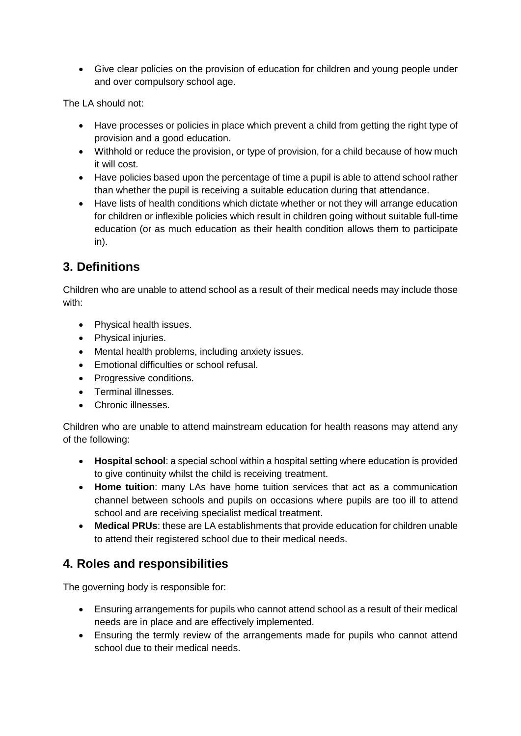Give clear policies on the provision of education for children and young people under and over compulsory school age.

The LA should not:

- Have processes or policies in place which prevent a child from getting the right type of provision and a good education.
- Withhold or reduce the provision, or type of provision, for a child because of how much it will cost.
- Have policies based upon the percentage of time a pupil is able to attend school rather than whether the pupil is receiving a suitable education during that attendance.
- Have lists of health conditions which dictate whether or not they will arrange education for children or inflexible policies which result in children going without suitable full-time education (or as much education as their health condition allows them to participate in).

# <span id="page-4-0"></span>**3. Definitions**

Children who are unable to attend school as a result of their medical needs may include those with:

- Physical health issues.
- Physical injuries.
- Mental health problems, including anxiety issues.
- Emotional difficulties or school refusal.
- Progressive conditions.
- Terminal illnesses.
- Chronic illnesses.

Children who are unable to attend mainstream education for health reasons may attend any of the following:

- **Hospital school**: a special school within a hospital setting where education is provided to give continuity whilst the child is receiving treatment.
- **Home tuition**: many LAs have home tuition services that act as a communication channel between schools and pupils on occasions where pupils are too ill to attend school and are receiving specialist medical treatment.
- **Medical PRUs**: these are LA establishments that provide education for children unable to attend their registered school due to their medical needs.

# <span id="page-4-1"></span>**4. Roles and responsibilities**

The governing body is responsible for:

- Ensuring arrangements for pupils who cannot attend school as a result of their medical needs are in place and are effectively implemented.
- Ensuring the termly review of the arrangements made for pupils who cannot attend school due to their medical needs.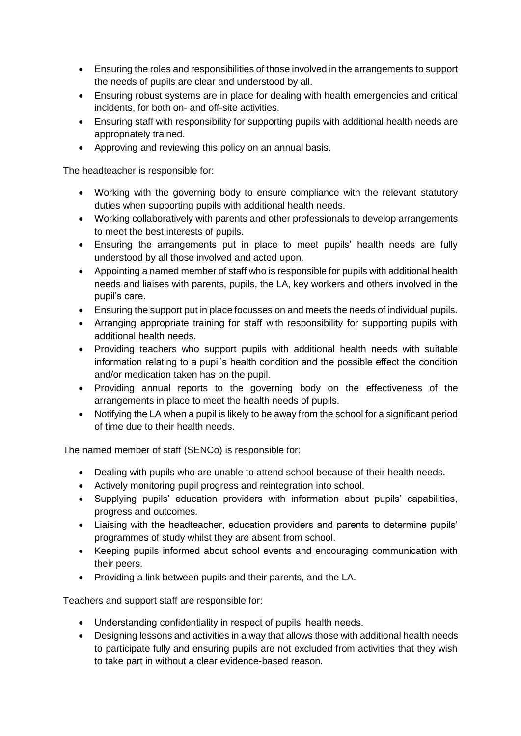- Ensuring the roles and responsibilities of those involved in the arrangements to support the needs of pupils are clear and understood by all.
- Ensuring robust systems are in place for dealing with health emergencies and critical incidents, for both on- and off-site activities.
- Ensuring staff with responsibility for supporting pupils with additional health needs are appropriately trained.
- Approving and reviewing this policy on an annual basis.

The headteacher is responsible for:

- Working with the governing body to ensure compliance with the relevant statutory duties when supporting pupils with additional health needs.
- Working collaboratively with parents and other professionals to develop arrangements to meet the best interests of pupils.
- Ensuring the arrangements put in place to meet pupils' health needs are fully understood by all those involved and acted upon.
- Appointing a named member of staff who is responsible for pupils with additional health needs and liaises with parents, pupils, the LA, key workers and others involved in the pupil's care.
- Ensuring the support put in place focusses on and meets the needs of individual pupils.
- Arranging appropriate training for staff with responsibility for supporting pupils with additional health needs.
- Providing teachers who support pupils with additional health needs with suitable information relating to a pupil's health condition and the possible effect the condition and/or medication taken has on the pupil.
- Providing annual reports to the governing body on the effectiveness of the arrangements in place to meet the health needs of pupils.
- Notifying the LA when a pupil is likely to be away from the school for a significant period of time due to their health needs.

The named member of staff (SENCo) is responsible for:

- Dealing with pupils who are unable to attend school because of their health needs.
- Actively monitoring pupil progress and reintegration into school.
- Supplying pupils' education providers with information about pupils' capabilities, progress and outcomes.
- Liaising with the headteacher, education providers and parents to determine pupils' programmes of study whilst they are absent from school.
- Keeping pupils informed about school events and encouraging communication with their peers.
- Providing a link between pupils and their parents, and the LA.

Teachers and support staff are responsible for:

- Understanding confidentiality in respect of pupils' health needs.
- Designing lessons and activities in a way that allows those with additional health needs to participate fully and ensuring pupils are not excluded from activities that they wish to take part in without a clear evidence-based reason.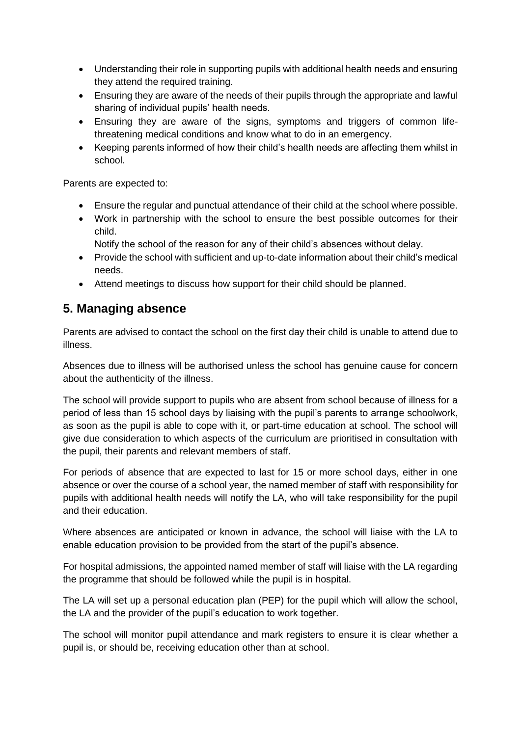- Understanding their role in supporting pupils with additional health needs and ensuring they attend the required training.
- Ensuring they are aware of the needs of their pupils through the appropriate and lawful sharing of individual pupils' health needs.
- Ensuring they are aware of the signs, symptoms and triggers of common lifethreatening medical conditions and know what to do in an emergency.
- Keeping parents informed of how their child's health needs are affecting them whilst in school.

Parents are expected to:

- Ensure the regular and punctual attendance of their child at the school where possible.
- Work in partnership with the school to ensure the best possible outcomes for their child.
	- Notify the school of the reason for any of their child's absences without delay.
- Provide the school with sufficient and up-to-date information about their child's medical needs.
- Attend meetings to discuss how support for their child should be planned.

### <span id="page-6-0"></span>**5. Managing absence**

Parents are advised to contact the school on the first day their child is unable to attend due to illness.

Absences due to illness will be authorised unless the school has genuine cause for concern about the authenticity of the illness.

The school will provide support to pupils who are absent from school because of illness for a period of less than 15 school days by liaising with the pupil's parents to arrange schoolwork, as soon as the pupil is able to cope with it, or part-time education at school. The school will give due consideration to which aspects of the curriculum are prioritised in consultation with the pupil, their parents and relevant members of staff.

For periods of absence that are expected to last for 15 or more school days, either in one absence or over the course of a school year, the named member of staff with responsibility for pupils with additional health needs will notify the LA, who will take responsibility for the pupil and their education.

Where absences are anticipated or known in advance, the school will liaise with the LA to enable education provision to be provided from the start of the pupil's absence.

For hospital admissions, the appointed named member of staff will liaise with the LA regarding the programme that should be followed while the pupil is in hospital.

The LA will set up a personal education plan (PEP) for the pupil which will allow the school, the LA and the provider of the pupil's education to work together.

The school will monitor pupil attendance and mark registers to ensure it is clear whether a pupil is, or should be, receiving education other than at school.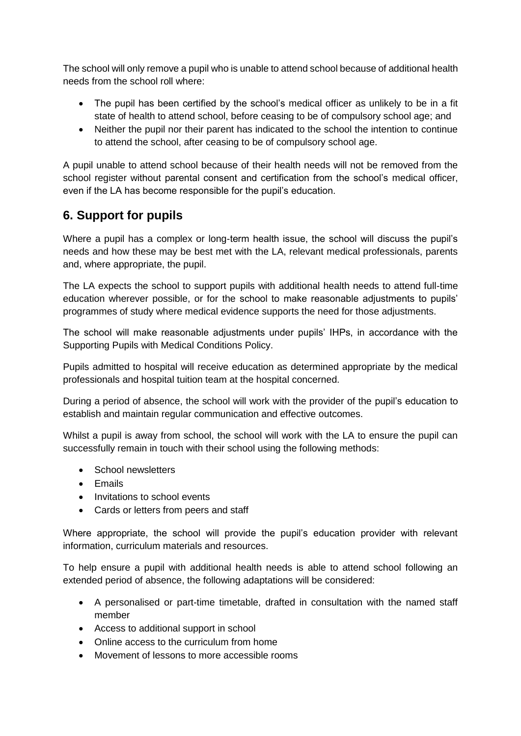The school will only remove a pupil who is unable to attend school because of additional health needs from the school roll where:

- The pupil has been certified by the school's medical officer as unlikely to be in a fit state of health to attend school, before ceasing to be of compulsory school age; and
- Neither the pupil nor their parent has indicated to the school the intention to continue to attend the school, after ceasing to be of compulsory school age.

A pupil unable to attend school because of their health needs will not be removed from the school register without parental consent and certification from the school's medical officer, even if the LA has become responsible for the pupil's education.

# <span id="page-7-0"></span>**6. Support for pupils**

Where a pupil has a complex or long-term health issue, the school will discuss the pupil's needs and how these may be best met with the LA, relevant medical professionals, parents and, where appropriate, the pupil.

The LA expects the school to support pupils with additional health needs to attend full-time education wherever possible, or for the school to make reasonable adjustments to pupils' programmes of study where medical evidence supports the need for those adjustments.

The school will make reasonable adjustments under pupils' IHPs, in accordance with the Supporting Pupils with Medical Conditions Policy.

Pupils admitted to hospital will receive education as determined appropriate by the medical professionals and hospital tuition team at the hospital concerned.

During a period of absence, the school will work with the provider of the pupil's education to establish and maintain regular communication and effective outcomes.

Whilst a pupil is away from school, the school will work with the LA to ensure the pupil can successfully remain in touch with their school using the following methods:

- School newsletters
- Emails
- Invitations to school events
- Cards or letters from peers and staff

Where appropriate, the school will provide the pupil's education provider with relevant information, curriculum materials and resources.

To help ensure a pupil with additional health needs is able to attend school following an extended period of absence, the following adaptations will be considered:

- A personalised or part-time timetable, drafted in consultation with the named staff member
- Access to additional support in school
- Online access to the curriculum from home
- Movement of lessons to more accessible rooms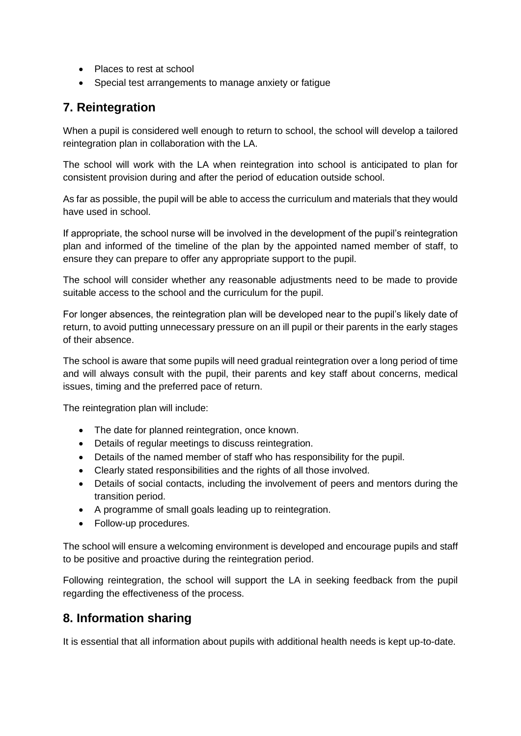- Places to rest at school
- Special test arrangements to manage anxiety or fatigue

### <span id="page-8-0"></span>**7. Reintegration**

When a pupil is considered well enough to return to school, the school will develop a tailored reintegration plan in collaboration with the LA.

The school will work with the LA when reintegration into school is anticipated to plan for consistent provision during and after the period of education outside school.

As far as possible, the pupil will be able to access the curriculum and materials that they would have used in school.

If appropriate, the school nurse will be involved in the development of the pupil's reintegration plan and informed of the timeline of the plan by the appointed named member of staff, to ensure they can prepare to offer any appropriate support to the pupil.

The school will consider whether any reasonable adjustments need to be made to provide suitable access to the school and the curriculum for the pupil.

For longer absences, the reintegration plan will be developed near to the pupil's likely date of return, to avoid putting unnecessary pressure on an ill pupil or their parents in the early stages of their absence.

The school is aware that some pupils will need gradual reintegration over a long period of time and will always consult with the pupil, their parents and key staff about concerns, medical issues, timing and the preferred pace of return.

The reintegration plan will include:

- The date for planned reintegration, once known.
- Details of regular meetings to discuss reintegration.
- Details of the named member of staff who has responsibility for the pupil.
- Clearly stated responsibilities and the rights of all those involved.
- Details of social contacts, including the involvement of peers and mentors during the transition period.
- A programme of small goals leading up to reintegration.
- Follow-up procedures.

The school will ensure a welcoming environment is developed and encourage pupils and staff to be positive and proactive during the reintegration period.

Following reintegration, the school will support the LA in seeking feedback from the pupil regarding the effectiveness of the process.

# <span id="page-8-1"></span>**8. Information sharing**

It is essential that all information about pupils with additional health needs is kept up-to-date.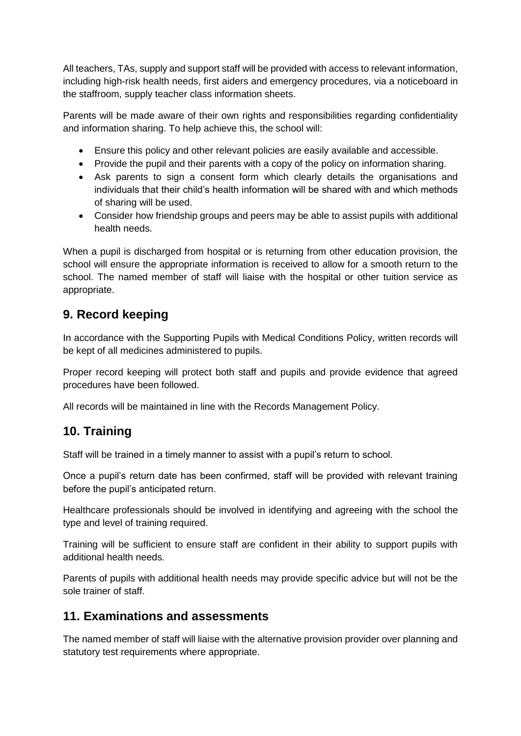All teachers, TAs, supply and support staff will be provided with access to relevant information, including high-risk health needs, first aiders and emergency procedures, via a noticeboard in the staffroom, supply teacher class information sheets.

Parents will be made aware of their own rights and responsibilities regarding confidentiality and information sharing. To help achieve this, the school will:

- Ensure this policy and other relevant policies are easily available and accessible.
- Provide the pupil and their parents with a copy of the policy on information sharing.
- Ask parents to sign a consent form which clearly details the organisations and individuals that their child's health information will be shared with and which methods of sharing will be used.
- Consider how friendship groups and peers may be able to assist pupils with additional health needs.

When a pupil is discharged from hospital or is returning from other education provision, the school will ensure the appropriate information is received to allow for a smooth return to the school. The named member of staff will liaise with the hospital or other tuition service as appropriate.

# <span id="page-9-0"></span>**9. Record keeping**

In accordance with the Supporting Pupils with Medical Conditions Policy, written records will be kept of all medicines administered to pupils.

Proper record keeping will protect both staff and pupils and provide evidence that agreed procedures have been followed.

All records will be maintained in line with the Records Management Policy.

# <span id="page-9-1"></span>**10. Training**

Staff will be trained in a timely manner to assist with a pupil's return to school.

Once a pupil's return date has been confirmed, staff will be provided with relevant training before the pupil's anticipated return.

Healthcare professionals should be involved in identifying and agreeing with the school the type and level of training required.

Training will be sufficient to ensure staff are confident in their ability to support pupils with additional health needs.

Parents of pupils with additional health needs may provide specific advice but will not be the sole trainer of staff.

# **11. Examinations and assessments**

The named member of staff will liaise with the alternative provision provider over planning and statutory test requirements where appropriate.